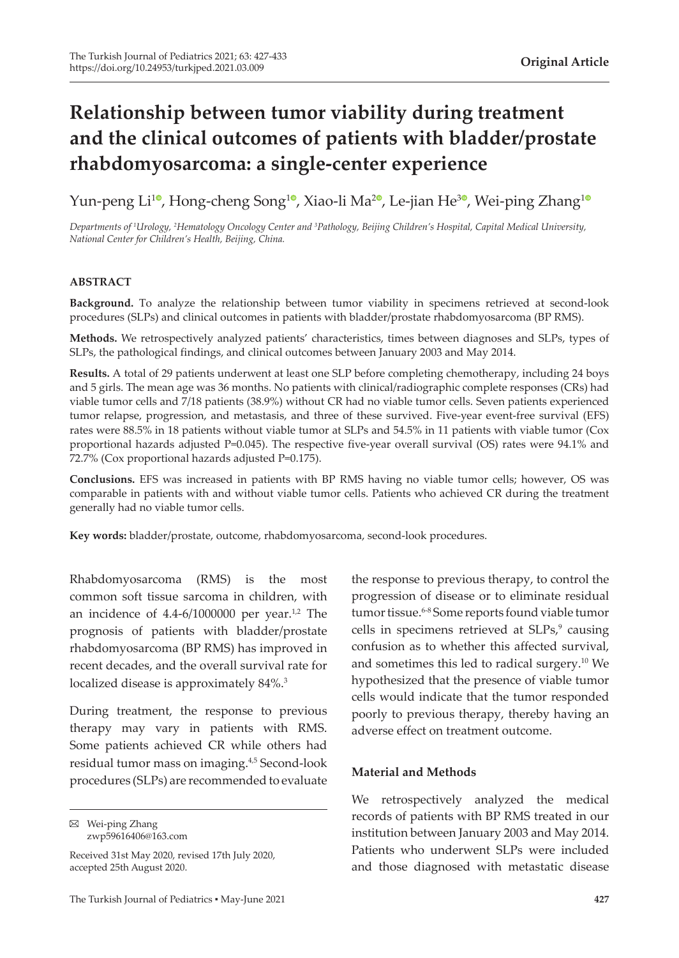# **Relationship between tumor viability during treatment and the clinical outcomes of patients with bladder/prostate rhabdomyosarcoma: a single-center experience**

Yun-peng Li<sup>10</sup>[,](https://orcid.org/0000-0002-4220-6600) Hong-cheng Song<sup>10</sup>, Xiao-li Ma<sup>[2](https://orcid.org/0000-0002-4069-142X)0</sup>, Le-jian He<sup>30</sup>, Wei-ping Zhang<sup>[1](https://orcid.org/0000-0001-5372-3366)0</sup>

*Departments of <sup>1</sup> Urology, <sup>2</sup> Hematology Oncology Center and 3 Pathology, Beijing Children's Hospital, Capital Medical University, National Center for Children's Health, Beijing, China.*

## **ABSTRACT**

**Background.** To analyze the relationship between tumor viability in specimens retrieved at second-look procedures (SLPs) and clinical outcomes in patients with bladder/prostate rhabdomyosarcoma (BP RMS).

**Methods.** We retrospectively analyzed patients' characteristics, times between diagnoses and SLPs, types of SLPs, the pathological findings, and clinical outcomes between January 2003 and May 2014.

**Results.** A total of 29 patients underwent at least one SLP before completing chemotherapy, including 24 boys and 5 girls. The mean age was 36 months. No patients with clinical/radiographic complete responses (CRs) had viable tumor cells and 7/18 patients (38.9%) without CR had no viable tumor cells. Seven patients experienced tumor relapse, progression, and metastasis, and three of these survived. Five-year event-free survival (EFS) rates were 88.5% in 18 patients without viable tumor at SLPs and 54.5% in 11 patients with viable tumor (Cox proportional hazards adjusted P=0.045). The respective five-year overall survival (OS) rates were 94.1% and 72.7% (Cox proportional hazards adjusted P=0.175).

**Conclusions.** EFS was increased in patients with BP RMS having no viable tumor cells; however, OS was comparable in patients with and without viable tumor cells. Patients who achieved CR during the treatment generally had no viable tumor cells.

**Key words:** bladder/prostate, outcome, rhabdomyosarcoma, second-look procedures.

Rhabdomyosarcoma (RMS) is the most common soft tissue sarcoma in children, with an incidence of  $4.4$ -6/1000000 per year.<sup>1,2</sup> The prognosis of patients with bladder/prostate rhabdomyosarcoma (BP RMS) has improved in recent decades, and the overall survival rate for localized disease is approximately 84%.<sup>3</sup>

During treatment, the response to previous therapy may vary in patients with RMS. Some patients achieved CR while others had residual tumor mass on imaging.4,5 Second-look procedures (SLPs) are recommended to evaluate

Wei-ping Zhang zwp59616406@163.com

Received 31st May 2020, revised 17th July 2020, accepted 25th August 2020.

the response to previous therapy, to control the progression of disease or to eliminate residual tumor tissue.6-8 Some reports found viable tumor cells in specimens retrieved at SLPs,<sup>9</sup> causing confusion as to whether this affected survival, and sometimes this led to radical surgery.<sup>10</sup> We hypothesized that the presence of viable tumor cells would indicate that the tumor responded poorly to previous therapy, thereby having an adverse effect on treatment outcome.

## **Material and Methods**

We retrospectively analyzed the medical records of patients with BP RMS treated in our institution between January 2003 and May 2014. Patients who underwent SLPs were included and those diagnosed with metastatic disease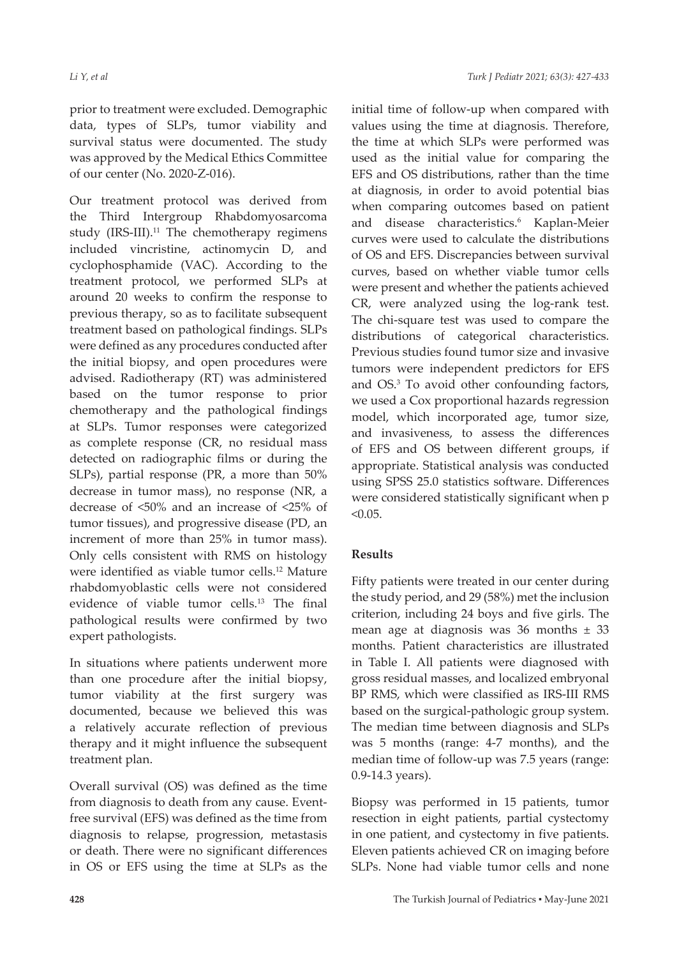prior to treatment were excluded. Demographic data, types of SLPs, tumor viability and survival status were documented. The study was approved by the Medical Ethics Committee of our center (No. 2020-Z-016).

Our treatment protocol was derived from the Third Intergroup Rhabdomyosarcoma study  $(IRS-III).<sup>11</sup>$  The chemotherapy regimens included vincristine, actinomycin D, and cyclophosphamide (VAC). According to the treatment protocol, we performed SLPs at around 20 weeks to confirm the response to previous therapy, so as to facilitate subsequent treatment based on pathological findings. SLPs were defined as any procedures conducted after the initial biopsy, and open procedures were advised. Radiotherapy (RT) was administered based on the tumor response to prior chemotherapy and the pathological findings at SLPs. Tumor responses were categorized as complete response (CR, no residual mass detected on radiographic films or during the SLPs), partial response (PR, a more than 50% decrease in tumor mass), no response (NR, a decrease of <50% and an increase of <25% of tumor tissues), and progressive disease (PD, an increment of more than 25% in tumor mass). Only cells consistent with RMS on histology were identified as viable tumor cells.12 Mature rhabdomyoblastic cells were not considered evidence of viable tumor cells.13 The final pathological results were confirmed by two expert pathologists.

In situations where patients underwent more than one procedure after the initial biopsy, tumor viability at the first surgery was documented, because we believed this was a relatively accurate reflection of previous therapy and it might influence the subsequent treatment plan.

Overall survival (OS) was defined as the time from diagnosis to death from any cause. Eventfree survival (EFS) was defined as the time from diagnosis to relapse, progression, metastasis or death. There were no significant differences in OS or EFS using the time at SLPs as the

initial time of follow-up when compared with values using the time at diagnosis. Therefore, the time at which SLPs were performed was used as the initial value for comparing the EFS and OS distributions, rather than the time at diagnosis, in order to avoid potential bias when comparing outcomes based on patient and disease characteristics.<sup>6</sup> Kaplan-Meier curves were used to calculate the distributions of OS and EFS. Discrepancies between survival curves, based on whether viable tumor cells were present and whether the patients achieved CR, were analyzed using the log-rank test. The chi-square test was used to compare the distributions of categorical characteristics. Previous studies found tumor size and invasive tumors were independent predictors for EFS and OS.<sup>3</sup> To avoid other confounding factors, we used a Cox proportional hazards regression model, which incorporated age, tumor size, and invasiveness, to assess the differences of EFS and OS between different groups, if appropriate. Statistical analysis was conducted using SPSS 25.0 statistics software. Differences were considered statistically significant when p  $< 0.05$ .

## **Results**

Fifty patients were treated in our center during the study period, and 29 (58%) met the inclusion criterion, including 24 boys and five girls. The mean age at diagnosis was  $36$  months  $\pm$  33 months. Patient characteristics are illustrated in Table I. All patients were diagnosed with gross residual masses, and localized embryonal BP RMS, which were classified as IRS-III RMS based on the surgical-pathologic group system. The median time between diagnosis and SLPs was 5 months (range: 4-7 months), and the median time of follow-up was 7.5 years (range: 0.9-14.3 years).

Biopsy was performed in 15 patients, tumor resection in eight patients, partial cystectomy in one patient, and cystectomy in five patients. Eleven patients achieved CR on imaging before SLPs. None had viable tumor cells and none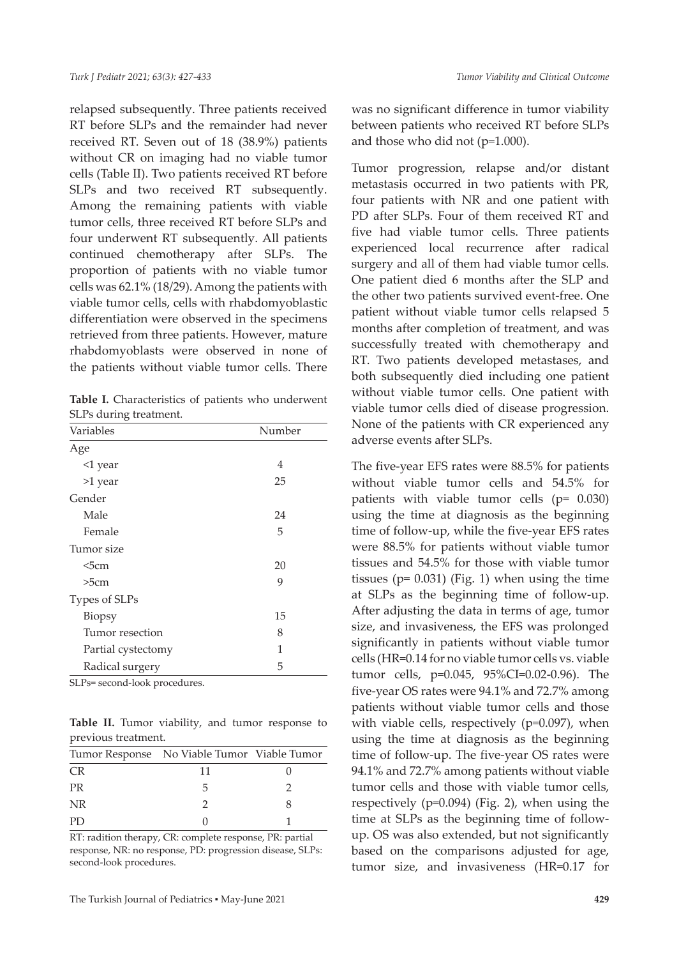relapsed subsequently. Three patients received RT before SLPs and the remainder had never received RT. Seven out of 18 (38.9%) patients without CR on imaging had no viable tumor cells (Table II). Two patients received RT before SLPs and two received RT subsequently. Among the remaining patients with viable tumor cells, three received RT before SLPs and four underwent RT subsequently. All patients continued chemotherapy after SLPs. The proportion of patients with no viable tumor cells was 62.1% (18/29). Among the patients with viable tumor cells, cells with rhabdomyoblastic differentiation were observed in the specimens retrieved from three patients. However, mature rhabdomyoblasts were observed in none of the patients without viable tumor cells. There

| Table I. Characteristics of patients who underwent |  |  |
|----------------------------------------------------|--|--|
| SLPs during treatment.                             |  |  |

| Variables          | Number |  |  |
|--------------------|--------|--|--|
| Age                |        |  |  |
| <1 year            | 4      |  |  |
| >1 year            | 25     |  |  |
| Gender             |        |  |  |
| Male               | 24     |  |  |
| Female             | 5      |  |  |
| Tumor size         |        |  |  |
| $5cm$              | 20     |  |  |
| >5cm               | 9      |  |  |
| Types of SLPs      |        |  |  |
| Biopsy             | 15     |  |  |
| Tumor resection    | 8      |  |  |
| Partial cystectomy | 1      |  |  |
| Radical surgery    | 5      |  |  |
|                    |        |  |  |

SLPs= second-look procedures.

**Table II.** Tumor viability, and tumor response to previous treatment.

|           | Tumor Response No Viable Tumor Viable Tumor |  |
|-----------|---------------------------------------------|--|
| CR.       | 11                                          |  |
| <b>PR</b> |                                             |  |
| <b>NR</b> |                                             |  |
| PD.       |                                             |  |

RT: radition therapy, CR: complete response, PR: partial response, NR: no response, PD: progression disease, SLPs: second-look procedures.

was no significant difference in tumor viability between patients who received RT before SLPs and those who did not (p=1.000).

Tumor progression, relapse and/or distant metastasis occurred in two patients with PR, four patients with NR and one patient with PD after SLPs. Four of them received RT and five had viable tumor cells. Three patients experienced local recurrence after radical surgery and all of them had viable tumor cells. One patient died 6 months after the SLP and the other two patients survived event-free. One patient without viable tumor cells relapsed 5 months after completion of treatment, and was successfully treated with chemotherapy and RT. Two patients developed metastases, and both subsequently died including one patient without viable tumor cells. One patient with viable tumor cells died of disease progression. None of the patients with CR experienced any adverse events after SLPs.

The five-year EFS rates were 88.5% for patients without viable tumor cells and 54.5% for patients with viable tumor cells (p= 0.030) using the time at diagnosis as the beginning time of follow-up, while the five-year EFS rates were 88.5% for patients without viable tumor tissues and 54.5% for those with viable tumor tissues ( $p= 0.031$ ) (Fig. 1) when using the time at SLPs as the beginning time of follow-up. After adjusting the data in terms of age, tumor size, and invasiveness, the EFS was prolonged significantly in patients without viable tumor cells (HR=0.14 for no viable tumor cells vs. viable tumor cells, p=0.045, 95%CI=0.02-0.96). The five-year OS rates were 94.1% and 72.7% among patients without viable tumor cells and those with viable cells, respectively (p=0.097), when using the time at diagnosis as the beginning time of follow-up. The five-year OS rates were 94.1% and 72.7% among patients without viable tumor cells and those with viable tumor cells, respectively (p=0.094) (Fig. 2), when using the time at SLPs as the beginning time of followup. OS was also extended, but not significantly based on the comparisons adjusted for age, tumor size, and invasiveness (HR=0.17 for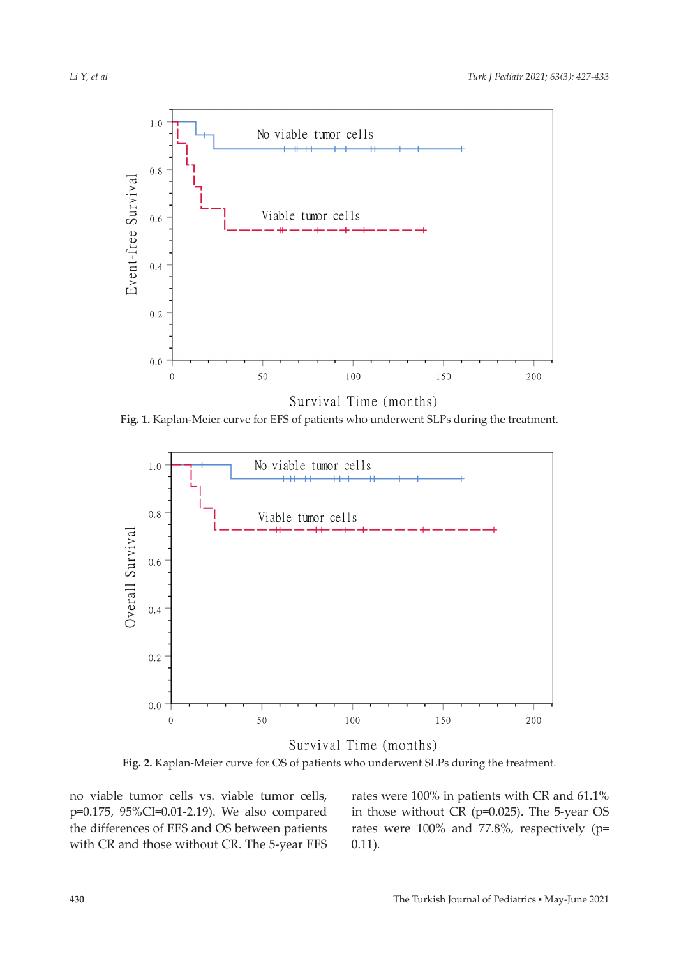

**Fig. 1.** Kaplan-Meier curve for EFS of patients who underwent SLPs during the treatment.



**Fig. 2.** Kaplan-Meier curve for OS of patients who underwent SLPs during the treatment.

no viable tumor cells vs. viable tumor cells, p=0.175, 95%CI=0.01-2.19). We also compared the differences of EFS and OS between patients with CR and those without CR. The 5-year EFS rates were 100% in patients with CR and 61.1% in those without CR (p=0.025). The 5-year OS rates were 100% and 77.8%, respectively (p= 0.11).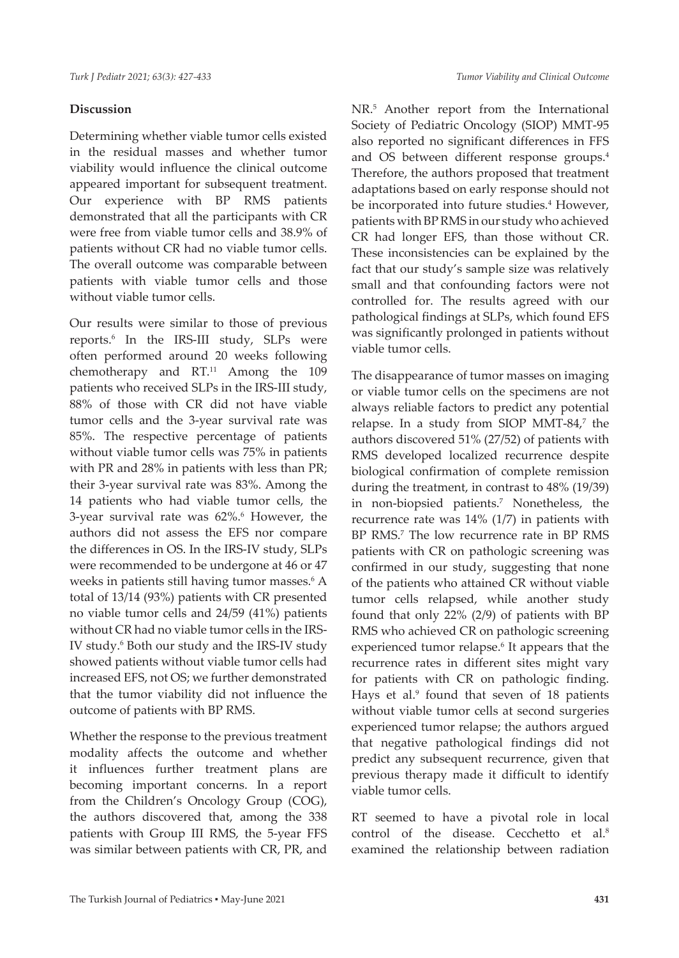## **Discussion**

Determining whether viable tumor cells existed in the residual masses and whether tumor viability would influence the clinical outcome appeared important for subsequent treatment. Our experience with BP RMS patients demonstrated that all the participants with CR were free from viable tumor cells and 38.9% of patients without CR had no viable tumor cells. The overall outcome was comparable between patients with viable tumor cells and those without viable tumor cells.

Our results were similar to those of previous reports.6 In the IRS-III study, SLPs were often performed around 20 weeks following chemotherapy and RT.<sup>11</sup> Among the 109 patients who received SLPs in the IRS-III study, 88% of those with CR did not have viable tumor cells and the 3-year survival rate was 85%. The respective percentage of patients without viable tumor cells was 75% in patients with PR and 28% in patients with less than PR; their 3-year survival rate was 83%. Among the 14 patients who had viable tumor cells, the 3-year survival rate was 62%.<sup>6</sup> However, the authors did not assess the EFS nor compare the differences in OS. In the IRS-IV study, SLPs were recommended to be undergone at 46 or 47 weeks in patients still having tumor masses.<sup>6</sup> A total of 13/14 (93%) patients with CR presented no viable tumor cells and 24/59 (41%) patients without CR had no viable tumor cells in the IRS-IV study.<sup>6</sup> Both our study and the IRS-IV study showed patients without viable tumor cells had increased EFS, not OS; we further demonstrated that the tumor viability did not influence the outcome of patients with BP RMS.

Whether the response to the previous treatment modality affects the outcome and whether it influences further treatment plans are becoming important concerns. In a report from the Children's Oncology Group (COG), the authors discovered that, among the 338 patients with Group III RMS, the 5-year FFS was similar between patients with CR, PR, and

NR.5 Another report from the International Society of Pediatric Oncology (SIOP) MMT-95 also reported no significant differences in FFS and OS between different response groups.4 Therefore, the authors proposed that treatment adaptations based on early response should not be incorporated into future studies.<sup>4</sup> However, patients with BP RMS in our study who achieved CR had longer EFS, than those without CR. These inconsistencies can be explained by the fact that our study's sample size was relatively small and that confounding factors were not controlled for. The results agreed with our pathological findings at SLPs, which found EFS was significantly prolonged in patients without viable tumor cells.

The disappearance of tumor masses on imaging or viable tumor cells on the specimens are not always reliable factors to predict any potential relapse. In a study from SIOP MMT-84,7 the authors discovered 51% (27/52) of patients with RMS developed localized recurrence despite biological confirmation of complete remission during the treatment, in contrast to 48% (19/39) in non-biopsied patients.7 Nonetheless, the recurrence rate was 14% (1/7) in patients with BP RMS.<sup>7</sup> The low recurrence rate in BP RMS patients with CR on pathologic screening was confirmed in our study, suggesting that none of the patients who attained CR without viable tumor cells relapsed, while another study found that only 22% (2/9) of patients with BP RMS who achieved CR on pathologic screening experienced tumor relapse.<sup>6</sup> It appears that the recurrence rates in different sites might vary for patients with CR on pathologic finding. Hays et al.<sup>9</sup> found that seven of 18 patients without viable tumor cells at second surgeries experienced tumor relapse; the authors argued that negative pathological findings did not predict any subsequent recurrence, given that previous therapy made it difficult to identify viable tumor cells.

RT seemed to have a pivotal role in local control of the disease. Cecchetto et al.<sup>8</sup> examined the relationship between radiation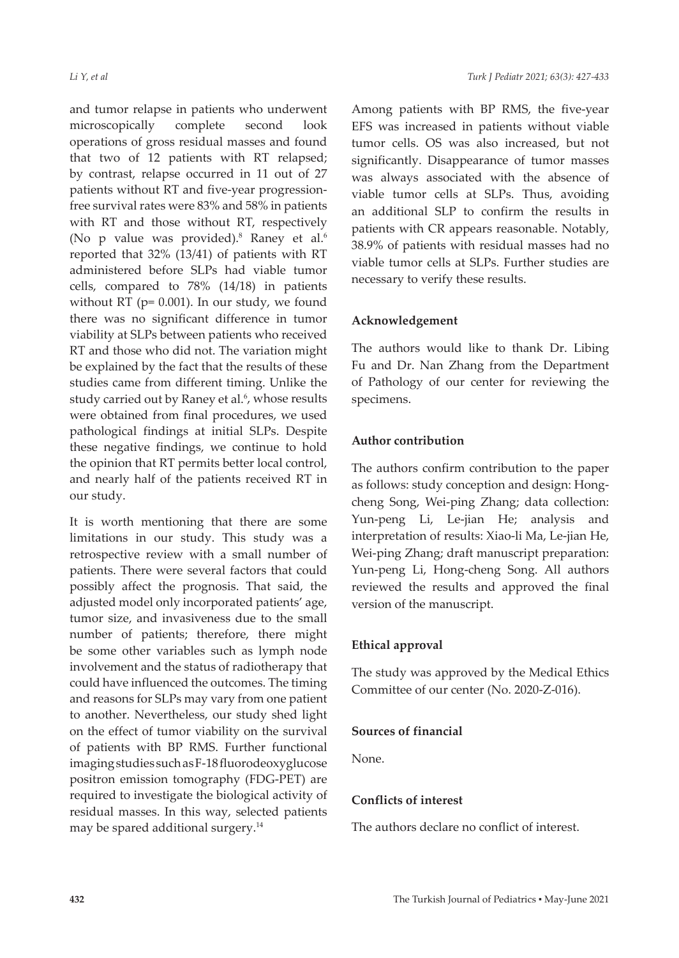and tumor relapse in patients who underwent microscopically complete second look operations of gross residual masses and found that two of 12 patients with RT relapsed; by contrast, relapse occurred in 11 out of 27 patients without RT and five-year progressionfree survival rates were 83% and 58% in patients with RT and those without RT, respectively (No p value was provided).<sup>8</sup> Raney et al.<sup>6</sup> reported that 32% (13/41) of patients with RT administered before SLPs had viable tumor cells, compared to 78% (14/18) in patients without RT (p= 0.001). In our study, we found there was no significant difference in tumor viability at SLPs between patients who received RT and those who did not. The variation might be explained by the fact that the results of these studies came from different timing. Unlike the study carried out by Raney et al.<sup>6</sup>, whose results were obtained from final procedures, we used pathological findings at initial SLPs. Despite these negative findings, we continue to hold the opinion that RT permits better local control, and nearly half of the patients received RT in our study.

It is worth mentioning that there are some limitations in our study. This study was a retrospective review with a small number of patients. There were several factors that could possibly affect the prognosis. That said, the adjusted model only incorporated patients' age, tumor size, and invasiveness due to the small number of patients; therefore, there might be some other variables such as lymph node involvement and the status of radiotherapy that could have influenced the outcomes. The timing and reasons for SLPs may vary from one patient to another. Nevertheless, our study shed light on the effect of tumor viability on the survival of patients with BP RMS. Further functional imaging studies such as F-18 fluorodeoxyglucose positron emission tomography (FDG-PET) are required to investigate the biological activity of residual masses. In this way, selected patients may be spared additional surgery.<sup>14</sup>

Among patients with BP RMS, the five-year EFS was increased in patients without viable tumor cells. OS was also increased, but not significantly. Disappearance of tumor masses was always associated with the absence of viable tumor cells at SLPs. Thus, avoiding an additional SLP to confirm the results in patients with CR appears reasonable. Notably, 38.9% of patients with residual masses had no viable tumor cells at SLPs. Further studies are necessary to verify these results.

## **Acknowledgement**

The authors would like to thank Dr. Libing Fu and Dr. Nan Zhang from the Department of Pathology of our center for reviewing the specimens.

# **Author contribution**

The authors confirm contribution to the paper as follows: study conception and design: Hongcheng Song, Wei-ping Zhang; data collection: Yun-peng Li, Le-jian He; analysis and interpretation of results: Xiao-li Ma, Le-jian He, Wei-ping Zhang; draft manuscript preparation: Yun-peng Li, Hong-cheng Song. All authors reviewed the results and approved the final version of the manuscript.

# **Ethical approval**

The study was approved by the Medical Ethics Committee of our center (No. 2020-Z-016).

## **Sources of financial**

None.

## **Conflicts of interest**

The authors declare no conflict of interest.